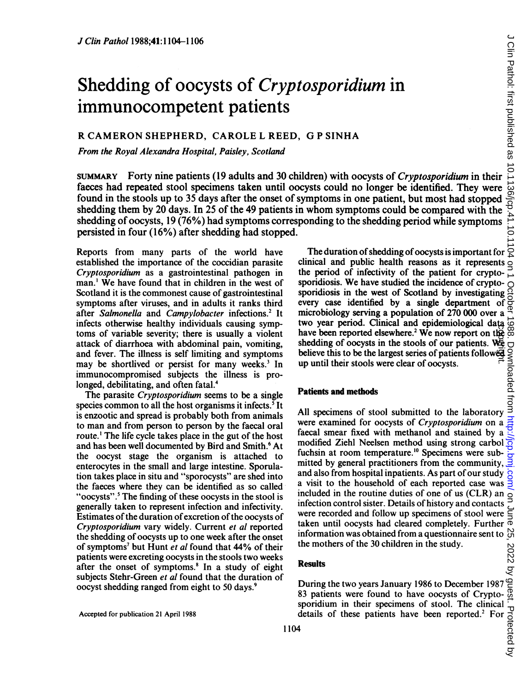# Shedding of oocysts of Cryptosporidium in immunocompetent patients

## R CAMERON SHEPHERD, CAROLE L REED, G <sup>P</sup> SINHA

From the Royal Alexandra Hospital, Paisley, Scotland

*S*<br>
Shedding of oocysts of *Cryptosporidium* in<br>
immunocompetent patients<br>
R CAMERON SHEPHERD, CAROLE L REED, G P SINHA<br>
From the Royal Alexandra Hospital, Paisley, Scotland<br>
SUMMARY Forty nine patients (19 adults and 30 faeces had repeated stool specimens taken until oocysts could no longer be identified. They were found in the stools up to 35 days after the onset of symptoms in one patient, but most had stopped shedding them by 20 days. In 25 of the 49 patients in whom symptoms could be compared with the shedding of oocysts, 19 (76%) had symptoms corresponding to the shedding period while symptoms persisted in four (16%) after shedding had stopped.

Reports from many parts of the world have established the importance of the coccidian parasite Cryptosporidium as a gastrointestinal pathogen in man.' We have found that in children in the west of Scotland it is the commonest cause of gastrointestinal symptoms after viruses, and in adults it ranks third after Salmonella and Campylobacter infections.<sup>2</sup> It infects otherwise healthy individuals causing symptoms of variable severity; there is usually a violent attack of diarrhoea with abdominal pain, vomiting, and fever. The illness is self limiting and symptoms may be shortlived or persist for many weeks.<sup>3</sup> In immunocompromised subjects the illness is prolonged, debilitating, and often fatal.<sup>4</sup>

The parasite Cryptosporidium seems to be a single species common to all the host organisms it infects.<sup>5</sup> It is enzootic and spread is probably both from animals to man and from person to person by the faecal oral route.' The life cycle takes place in the gut of the host and has been well documented by Bird and Smith.<sup>6</sup> At the oocyst stage the organism is attached to enterocytes in the small and large intestine. Sporulation takes place in situ and "sporocysts"' are shed into the faeces where they can be identified as so called "oocysts".<sup>5</sup> The finding of these oocysts in the stool is generally taken to represent infection and infectivity. Estimates of the duration of excretion of the oocysts of Cryptosporidium vary widely. Current et al reported the shedding of oocysts up to one week after the onset of symptoms<sup>7</sup> but Hunt et al found that 44% of their patients were excreting oocysts in the stools two weeks after the onset of symptoms.<sup>8</sup> In a study of eight subjects Stehr-Green et al found that the duration of oocyst shedding ranged from eight to 50 days.<sup>9</sup>

Accepted for publication 21 April 1988

The duration of shedding of oocysts is important for  $\overrightarrow{S}$ clinical and public health reasons as it represents the period of infectivity of the patient for cryptosporidiosis. We have studied the incidence of cryptosporidiosis in the west of Scotland by investigating every case identified by a single department of microbiology serving a population of 270 000 over a two year period. Clinical and epidemiological data  $\frac{1}{2}$ <br>have been reported elsewhere.<sup>2</sup> We now report on the  $\frac{1}{2}$ <br>shedding of occysts in the stools of our patients. We believe this to be the largest series of p have been reported elsewhere.<sup>2</sup> We now report on the shedding of oocysts in the stools of our patients. We believe this to be the largest series of patients followed shedding of oocysts in the stools of our patients. We believe this to be the largest series of patients followed up until their stools were clear of oocysts.

## Patients and methods

All specimens of stool submitted to the laboratory were examined for oocysts of Cryptosporidium on a faecal smear fixed with methanol and stained by a modified Ziehl Neelsen method using strong carbol fuchsin at room temperature.'0 Specimens were submitted by general practitioners from the community, and also from hospital inpatients. As part of our study a visit to the household of each reported case was included in the routine duties of one of us (CLR) an infection control sister. Details of history and contacts were recorded and follow up specimens of stool were were recorded and follow up specimens of stool were  $\frac{1}{5}$ <br>taken until oocysts had cleared completely. Further  $\frac{1}{0}$ <br>information was obtained from a questionnaire sent to  $\frac{1}{00}$ information was obtained from a questionnaire sent to the mothers of the 30 children in the study.

### **Results**

the mothers of the 30 children in the study.<br>
Results<br>
During the two years January 1986 to December 1987<br>
83 patients were found to have occysts of Crypto-<br>
sporidium in their specimens of stool. The clinical details of 83 patients were found to have oocysts of Cryptosporidium in their specimens of stool. The clinical details of these patients have been reported.<sup>2</sup> For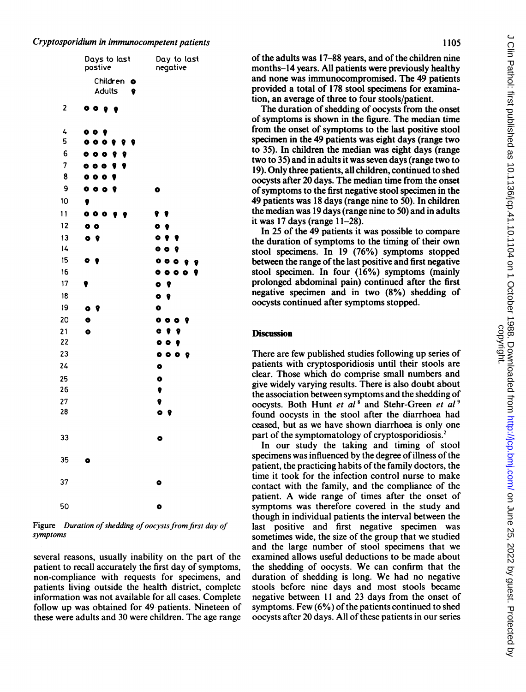## Cryptosporidium in immunocompetent patients

|          | Days to last<br>postive               | Day to last<br>negative  |
|----------|---------------------------------------|--------------------------|
|          | Children o<br>Adults                  |                          |
| 2        | $\bullet$ $\bullet$<br>$\bullet$<br>e |                          |
| 4        | 009                                   |                          |
| 5        | 000<br>9                              |                          |
| 6        | 0 <sub>0</sub>                        |                          |
| 7        | 000<br>9<br>9                         |                          |
| 8        | 000<br>9                              |                          |
| 9        | 0 <sub>0</sub><br>9                   | $\bullet$                |
| 10       | 9                                     |                          |
| 11       | 000<br>9<br>- 9                       |                          |
| 12       | $\bullet$ $\bullet$                   | $\bullet$                |
| 13       | $\bullet$<br>$\bullet$                | $\bullet$ $\bullet$      |
| 14       |                                       | $\bullet$ $\bullet$<br>9 |
| 15       | $\bullet$<br>9                        | 0 <sub>0</sub><br>9      |
| 16       |                                       | 0 <sub>0</sub><br>9      |
| 17       | 9                                     | $\bullet$                |
| 18       |                                       | $\bullet$<br>,           |
| 19       | ۰                                     | $\bullet$                |
| 20       | ō                                     | 000<br>- 9               |
| 21       | $\bullet$                             | $\bullet$ ? ?            |
| 22       |                                       | 009                      |
| 23       |                                       | 0 <sub>0</sub><br>- 9    |
| 24       |                                       | $\bullet$                |
| 25       |                                       | $\bullet$                |
| 26       |                                       | 9                        |
| 27<br>28 |                                       | 0                        |
|          |                                       | $\bullet$<br>9           |
|          |                                       |                          |
| 33       |                                       | $\bullet$                |
| 35       | ۰                                     |                          |
| 37       |                                       | $\bullet$                |
| 50       |                                       | $\bullet$                |

Figure Duration of shedding of oocysts from first day of symptoms

several reasons, usually inability on the part of the patient to recall accurately the first day of symptoms, non-compliance with requests for specimens, and patients living outside the health district, complete information was not available for all cases. Complete follow up was obtained for 49 patients. Nineteen of these were adults and 30 were children. The age range

of the adults was 17–88 years, and of the children nine months-14 years. All patients were previously healthy and none was immunocompromised. The 49 patients provided a total of 178 stool specimens for examination, an average of three to four stools/patient.

The duration of shedding of oocysts from the onset of symptoms is shown in the figure. The median time from the onset of symptoms to the last positive stool specimen in the 49 patients was eight days (range two to 35). In children the median was eight days (range two to 35) and in adults it was seven days (range two to 19). Only three patients, all children, continued to shed oocysts after 20 days. The median time from the onset of symptoms to the first negative stool specimen in the 49 patients was 18 days (range nine to 50). In children the median was 19 days (range nine to 50) and in adults it was  $17$  days (range  $11-28$ ).

In 25 of the 49 patients it was possible to compare the duration of symptoms to the timing of their own stool specimens. In 19 (76%) symptoms stopped between the range of the last positive and first negative stool specimen. In four (16%) symptoms (mainly prolonged abdominal pain) continued after the first negative specimen and in two (8%) shedding of oocysts continued after symptoms stopped.

### **Discussion**

There are few published studies following up series of patients with cryptosporidiosis until their stools are clear. Those which do comprise small numbers and give widely varying results. There is also doubt about the association between symptoms and the shedding of oocysts. Both Hunt et al<sup>8</sup> and Stehr-Green et al<sup>9</sup> found oocysts in the stool after the diarrhoea had ceased, but as we have shown diarrhoea is only one part of the symptomatology of cryptosporidiosis.2

In our study the taking and timing of stool specimens was influenced by the degree of illness of the patient, the practicing habits of the family doctors, the time it took for the infection control nurse to make contact with the family, and the compliance of the patient. A wide range of times after the onset of symptoms was therefore covered in the study and though in individual patients the interval between the last positive and first negative specimen was sometimes wide, the size of the group that we studied and the large number of stool specimens that we examined allows useful deductions to be made about the shedding of oocysts. We can confirm that the duration of shedding is long. We had no negative stools before nine days and most stools became negative between <sup>11</sup> and 23 days from the onset of symptoms. Few (6%) of the patients continued to shed oocysts after 20 days. All of these patients in our series